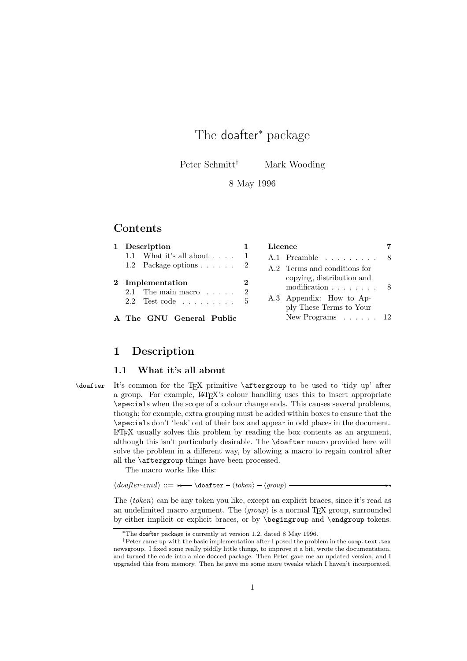# The doafter<sup>∗</sup> package

Peter Schmitt<sup>†</sup> Mark Wooding

### 8 May 1996

## **Contents**

| 1 Description                                                        |                | Licence                                                                                                                   |  |
|----------------------------------------------------------------------|----------------|---------------------------------------------------------------------------------------------------------------------------|--|
| 1.1 What it's all about $\ldots$ .                                   |                | A.1 Preamble $\ldots \ldots \ldots 8$                                                                                     |  |
| 1.2 Package options $\ldots$ $\ldots$ 2                              |                | A.2 Terms and conditions for                                                                                              |  |
| 2 Implementation<br>2.1 The main macro $\dots$<br>$2.2$ Test code  5 | $\bf{2}$<br>-2 | copying, distribution and<br>$modification \ldots \ldots \ldots 8$<br>A.3 Appendix: How to Ap-<br>ply These Terms to Your |  |
| A The GNU General Public                                             |                | New Programs $\ldots$ $\ldots$ 12                                                                                         |  |

# 1 Description

#### 1.1 What it's all about

\doafter It's common for the TEX primitive \aftergroup to be used to 'tidy up' after a group. For example, LATEX's colour handling uses this to insert appropriate \specials when the scope of a colour change ends. This causes several problems, though; for example, extra grouping must be added within boxes to ensure that the \specials don't 'leak' out of their box and appear in odd places in the document. LATEX usually solves this problem by reading the box contents as an argument, although this isn't particularly desirable. The \doafter macro provided here will solve the problem in a different way, by allowing a macro to regain control after all the \aftergroup things have been processed.

The macro works like this:

# $\langle doafter-cmd \rangle ::= \rightarrow \Diamond toafter - \langle token \rangle - \langle group \rangle$

The  $\langle token \rangle$  can be any token you like, except an explicit braces, since it's read as an undelimited macro argument. The  $\langle group \rangle$  is a normal TEX group, surrounded by either implicit or explicit braces, or by \begingroup and \endgroup tokens.

<sup>∗</sup>The doafter package is currently at version 1.2, dated 8 May 1996.

<sup>†</sup>Peter came up with the basic implementation after I posed the problem in the comp.text.tex newsgroup. I fixed some really piddly little things, to improve it a bit, wrote the documentation, and turned the code into a nice docced package. Then Peter gave me an updated version, and I upgraded this from memory. Then he gave me some more tweaks which I haven't incorporated.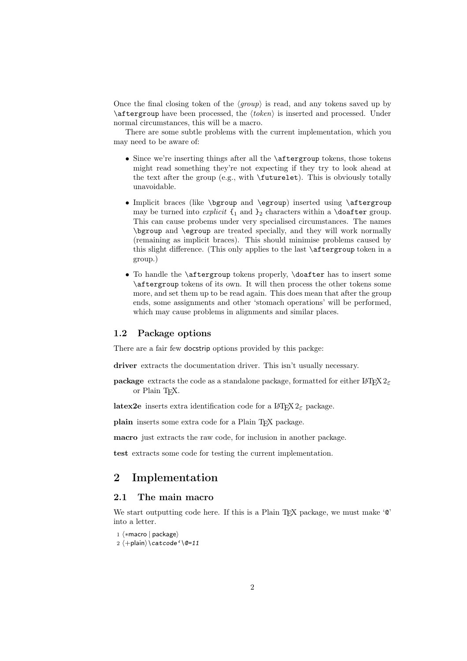Once the final closing token of the  $\langle \text{group} \rangle$  is read, and any tokens saved up by  $\a$ ftergroup have been processed, the  $\langle token \rangle$  is inserted and processed. Under normal circumstances, this will be a macro.

There are some subtle problems with the current implementation, which you may need to be aware of:

- Since we're inserting things after all the \aftergroup tokens, those tokens might read something they're not expecting if they try to look ahead at the text after the group (e.g., with \futurelet). This is obviously totally unavoidable.
- Implicit braces (like \bgroup and \egroup) inserted using \aftergroup may be turned into *explicit*  $\{_1 \text{ and } \}_2$  characters within a **\doafter** group. This can cause probems under very specialised circumstances. The names \bgroup and \egroup are treated specially, and they will work normally (remaining as implicit braces). This should minimise problems caused by this slight difference. (This only applies to the last \aftergroup token in a group.)
- To handle the \aftergroup tokens properly, \doafter has to insert some \aftergroup tokens of its own. It will then process the other tokens some more, and set them up to be read again. This does mean that after the group ends, some assignments and other 'stomach operations' will be performed, which may cause problems in alignments and similar places.

#### 1.2 Package options

There are a fair few docstrip options provided by this packge:

driver extracts the documentation driver. This isn't usually necessary.

package extracts the code as a standalone package, formatted for either LAT<sub>E</sub>X  $2\varepsilon$ or Plain T<sub>F</sub>X.

latex2e inserts extra identification code for a  $L^2 \to 2\varepsilon$  package.

plain inserts some extra code for a Plain T<sub>EX</sub> package.

macro just extracts the raw code, for inclusion in another package.

test extracts some code for testing the current implementation.

## 2 Implementation

### 2.1 The main macro

We start outputting code here. If this is a Plain T<sub>E</sub>X package, we must make  $\circ$ into a letter.

```
1 (*macro | package)<br>? /⊥nlain\\catcode:
2 \langle +\mathsf{plain}\rangle \setminus \mathsf{catcode'} \setminus \mathsf{Q=11}
```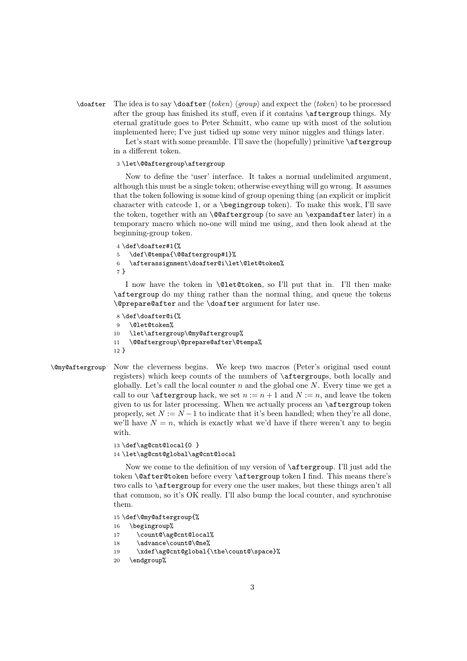$\dot{\theta}$  The idea is to say  $\dot{\theta}$  *(oken*) *group*) and expect the *(token*) to be processed after the group has finished its stuff, even if it contains \aftergroup things. My eternal gratitude goes to Peter Schmitt, who came up with most of the solution implemented here; I've just tidied up some very minor niggles and things later.

> Let's start with some preamble. I'll save the (hopefully) primitive  $\setminus$  aftergroup in a different token.

#### 3 \let\@@aftergroup\aftergroup

Now to define the 'user' interface. It takes a normal undelimited argument, although this must be a single token; otherwise eveything will go wrong. It assumes that the token following is some kind of group opening thing (an explicit or implicit character with catcode 1, or a  $\begin{bmatrix} \begin{array}{c} \mathbf{c} \\ \mathbf{c} \end{array} \end{bmatrix}$  character with catcode 1, or a  $\begin{bmatrix} \mathbf{c} \\ \mathbf{c} \end{bmatrix}$  to ken). To make this work, I'll save the token, together with an  $\textcircled{aftergroup}$  (to save an  $\textcircled{er}$  later later) in a temporary macro which no-one will mind me using, and then look ahead at the beginning-group token.

```
4 \def\doafter#1{%
5 \def\@tempa{\@@aftergroup#1}%
6 \afterassignment\doafter@i\let\@let@token%
7 }
```
I now have the token in \@let@token, so I'll put that in. I'll then make \aftergroup do my thing rather than the normal thing, and queue the tokens \@prepare@after and the \doafter argument for later use.

```
8 \def\doafter@i{%
9 \@let@token%
10 \let\aftergroup\@my@aftergroup%
11 \@@aftergroup\@prepare@after\@tempa%
12 }
```
\@my@aftergroup Now the cleverness begins. We keep two macros (Peter's original used count registers) which keep counts of the numbers of \aftergroups, both locally and globally. Let's call the local counter n and the global one  $N$ . Every time we get a call to our **\aftergroup** hack, we set  $n := n + 1$  and  $N := n$ , and leave the token given to us for later processing. When we actually process an \aftergroup token properly, set  $N := N - 1$  to indicate that it's been handled; when they're all done, we'll have  $N = n$ , which is exactly what we'd have if there weren't any to begin with.

```
13 \def\ag@cnt@local{0 }
```
14 \let\ag@cnt@global\ag@cnt@local

Now we come to the definition of my version of \aftergroup. I'll just add the token \@after@token before every \aftergroup token I find. This means there's two calls to \aftergroup for every one the user makes, but these things aren't all that common, so it's OK really. I'll also bump the local counter, and synchronise them.

15 \def\@my@aftergroup{%

- 16 \begingroup%
- 17 \count@\ag@cnt@local%
- 18 \advance\count@\@ne%
- 19 \xdef\ag@cnt@global{\the\count@\space}%
- 20 \endgroup%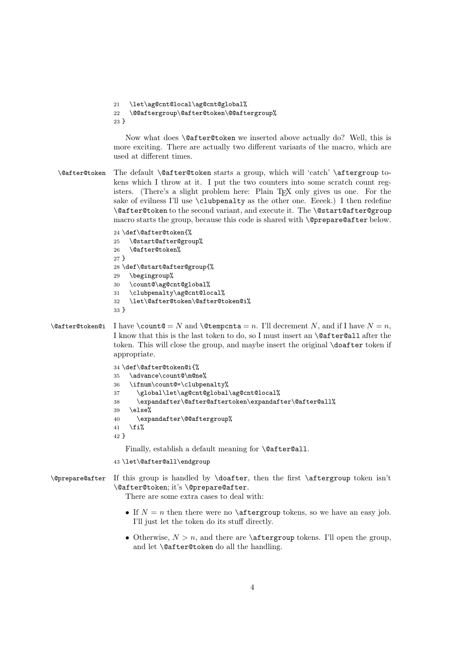```
21 \let\ag@cnt@local\ag@cnt@global%
22 \@@aftergroup\@after@token\@@aftergroup%
23 }
```
Now what does \@after@token we inserted above actually do? Well, this is more exciting. There are actually two different variants of the macro, which are used at different times.

\@after@token The default \@after@token starts a group, which will 'catch' \aftergroup tokens which I throw at it. I put the two counters into some scratch count registers. (There's a slight problem here: Plain T<sub>EX</sub> only gives us one. For the sake of evilness I'll use \clubpenalty as the other one. Eeeek.) I then redefine \@after@token to the second variant, and execute it. The \@start@after@group macro starts the group, because this code is shared with \@prepare@after below.

```
24 \def\@after@token{%
25 \@start@after@group%
26 \@after@token%
27 }
28 \def\@start@after@group{%
29 \begingroup%
30 \count@\ag@cnt@global%
31 \clubpenalty\ag@cnt@local%
32 \let\@after@token\@after@token@i%
33 }
```

```
\@after@token@i I have \count@ = N and \@tempcnta = n. I'll decrement N, and if I have N = n.
                  I know that this is the last token to do, so I must insert an \@after@all after the
                  token. This will close the group, and maybe insert the original \doafter token if
                  appropriate.
```

```
34 \def\@after@token@i{%
35 \advance\count@\m@ne%
36 \ifnum\count@=\clubpenalty%
37 \global\let\ag@cnt@global\ag@cnt@local%
38 \expandafter\@after@aftertoken\expandafter\@after@all%
39 \else%
40 \expandafter\@@aftergroup%
41 \overline{\text{f}i\text{}}42<sup>2</sup>
```
Finally, establish a default meaning for **\@after@all**.

```
43 \let\@after@all\endgroup
```

```
\@prepare@after If this group is handled by \doafter, then the first \aftergroup token isn't
                 \@after@token; it's \@prepare@after.
```
There are some extra cases to deal with:

- If  $N = n$  then there were no **\aftergroup** tokens, so we have an easy job. I'll just let the token do its stuff directly.
- Otherwise,  $N > n$ , and there are **\aftergroup** tokens. I'll open the group, and let \@after@token do all the handling.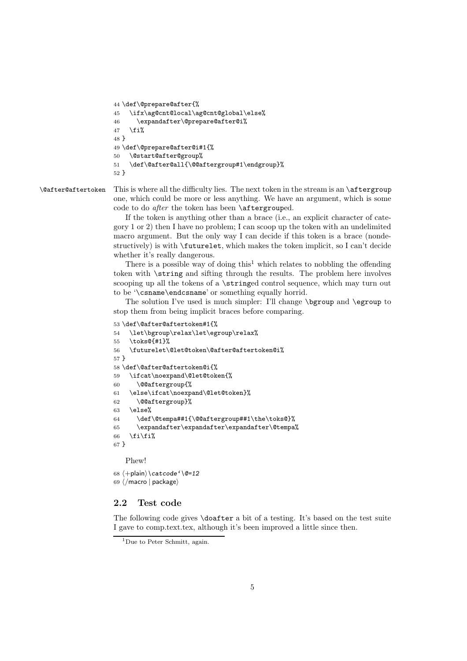```
44 \def\@prepare@after{%
45 \ifx\ag@cnt@local\ag@cnt@global\else%
46 \expandafter\@prepare@after@i%
47 \fi%
48 }
49 \def\@prepare@after@i#1{%
50 \@start@after@group%
51 \def\@after@all{\@@aftergroup#1\endgroup}%
52 }
```
#### \@after@aftertoken This is where all the difficulty lies. The next token in the stream is an \aftergroup one, which could be more or less anything. We have an argument, which is some code to do *after* the token has been \aftergrouped.

If the token is anything other than a brace (i.e., an explicit character of category 1 or 2) then I have no problem; I can scoop up the token with an undelimited macro argument. But the only way I can decide if this token is a brace (nondestructively) is with \futurelet, which makes the token implicit, so I can't decide whether it's really dangerous.

There is a possible way of doing this<sup>1</sup> which relates to nobbling the offending token with \string and sifting through the results. The problem here involves scooping up all the tokens of a \stringed control sequence, which may turn out to be '\csname\endcsname' or something equally horrid.

The solution I've used is much simpler: I'll change \bgroup and \egroup to stop them from being implicit braces before comparing.

```
53 \def\@after@aftertoken#1{%
```

```
54 \let\bgroup\relax\let\egroup\relax%
55 \toks@{#1}%
56 \futurelet\@let@token\@after@aftertoken@i%
57 }
58 \def\@after@aftertoken@i{%
59 \ifcat\noexpand\@let@token{%
60 \@@aftergroup{%
61 \else\ifcat\noexpand\@let@token}%
62 \@@aftergroup}%
63 \text{ } \else%
64 \def\@tempa##1{\@@aftergroup##1\the\toks@}%
65 \expandafter\expandafter\expandafter\@tempa%
66 \ifmmode \big\vert \else 66 \fi\fi%
67 }
```
Phew!

68  $\langle +$ plain $\rangle \catcode' \@=12$ <br>69  $\langle$  masse  $\rangle$  paskage) 69  $\langle$ /macro | package $\rangle$ 

#### 2.2 Test code

The following code gives **\doafter** a bit of a testing. It's based on the test suite I gave to comp.text.tex, although it's been improved a little since then.

<sup>&</sup>lt;sup>1</sup>Due to Peter Schmitt, again.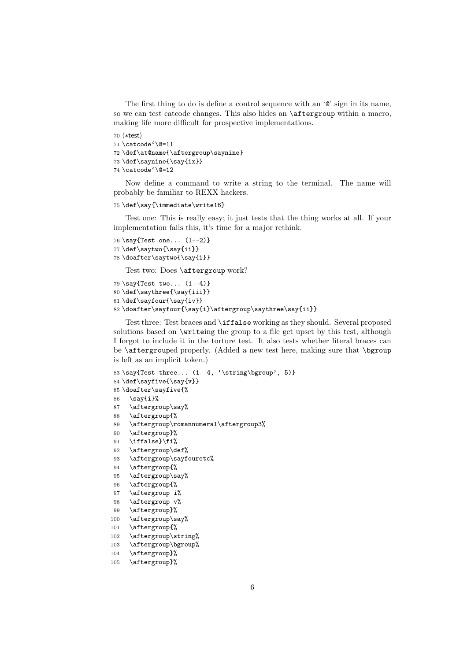The first thing to do is define a control sequence with an '@' sign in its name, so we can test catcode changes. This also hides an \aftergroup within a macro, making life more difficult for prospective implementations.

```
70 \; \startest\star<sup>70</sup> (*test)<br>71 <mark>\catcode'\@=11</mark>
72 \def\at@name{\aftergroup\saynine}
73 \def\saynine{\say{ix}}
74 \catcode'\@=12
```
Now define a command to write a string to the terminal. The name will probably be familiar to REXX hackers.

#### 75 \def\say{\immediate\write16}

Test one: This is really easy; it just tests that the thing works at all. If your implementation fails this, it's time for a major rethink.

```
76 \say{Test one... (1--2)}
77 \def\saytwo{\say{ii}}
78 \doafter\saytwo{\say{i}}
```
Test two: Does \aftergroup work?

```
79 \say{Test two... (1--4)}
80 \def\saythree{\say{iii}}
81 \def\sayfour{\say{iv}}
82 \doafter\sayfour{\say{i}\aftergroup\saythree\say{ii}}
```
Test three: Test braces and \iffalse working as they should. Several proposed solutions based on \writeing the group to a file get upset by this test, although I forgot to include it in the torture test. It also tests whether literal braces can be \aftergrouped properly. (Added a new test here, making sure that \bgroup is left as an implicit token.)

```
83 \say{Test three... (1--4, ' \string\bgroup\gamma', 5)}
84 \def\sayfive{\say{v}}
85 \doafter\sayfive{%
86 \say{i}%
87 \aftergroup\say%
88 \aftergroup{%
89 \aftergroup\romannumeral\aftergroup3%
90 \aftergroup}%
91 \iffalse}\fi%
92 \aftergroup\def%
93 \aftergroup\sayfouretc%
94 \aftergroup{%
95 \aftergroup\say%
96 \aftergroup{%
97 \aftergroup i%
98 \aftergroup v%
99 \aftergroup}%
100 \aftergroup\say%
101 \aftergroup{%
102 \aftergroup\string%
103 \aftergroup\bgroup%
104 \aftergroup}%
```

```
105 \aftergroup}%
```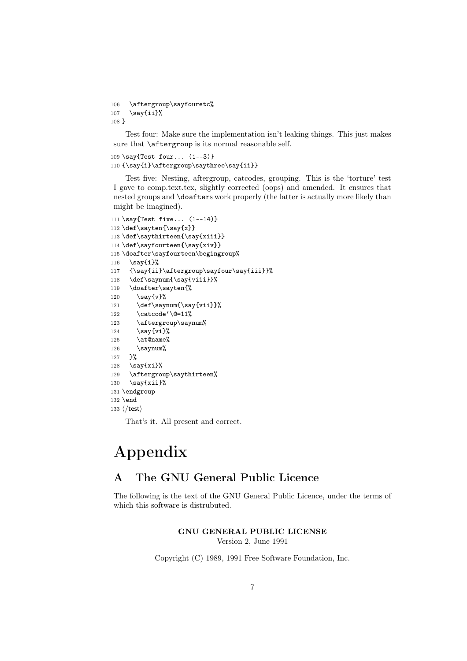```
106 \aftergroup\sayfouretc%
107 \say\{ii\}%
108 }
```
Test four: Make sure the implementation isn't leaking things. This just makes sure that  $\a$ ftergroup is its normal reasonable self.

```
109 \say{Test four... (1--3)}
110 {\say{i}\aftergroup\saythree\say{ii}}
```
Test five: Nesting, aftergroup, catcodes, grouping. This is the 'torture' test I gave to comp.text.tex, slightly corrected (oops) and amended. It ensures that nested groups and \doafters work properly (the latter is actually more likely than might be imagined).

```
111 \say{Test five... (1--14)}
112 \def\sayten{\say{x}}
113 \def\saythirteen{\say{xiii}}
114 \def\sayfourteen{\say{xiv}}
115 \doafter\sayfourteen\begingroup%
116 \simeq 116
117 {\say{ii}\aftergroup\sayfour\say{iii}}%
118 \def\saynum{\say{viii}}%
119 \doafter\sayten{%
120 \surd\text{sy}\{v\}121 \def\saynum{\say{vii}}%
122 \catcode'\@=11%
123 \aftergroup\saynum%
124 \say{vi}%
125 \at@name%
126 \sqrt{\text{sqrt}}127 }%
128 \simeq \say{xi}%
129 \aftergroup\saythirteen%
130 \surd\text{xii}%
131 \endgroup
132 \end
133 \langle /test \rangle
```
That's it. All present and correct.

# Appendix

# A The GNU General Public Licence

The following is the text of the GNU General Public Licence, under the terms of which this software is distrubuted.

# GNU GENERAL PUBLIC LICENSE

Version 2, June 1991

Copyright (C) 1989, 1991 Free Software Foundation, Inc.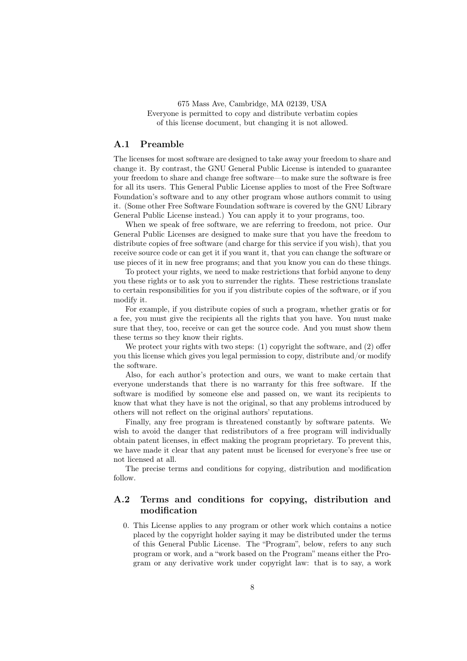675 Mass Ave, Cambridge, MA 02139, USA Everyone is permitted to copy and distribute verbatim copies of this license document, but changing it is not allowed.

#### A.1 Preamble

The licenses for most software are designed to take away your freedom to share and change it. By contrast, the GNU General Public License is intended to guarantee your freedom to share and change free software—to make sure the software is free for all its users. This General Public License applies to most of the Free Software Foundation's software and to any other program whose authors commit to using it. (Some other Free Software Foundation software is covered by the GNU Library General Public License instead.) You can apply it to your programs, too.

When we speak of free software, we are referring to freedom, not price. Our General Public Licenses are designed to make sure that you have the freedom to distribute copies of free software (and charge for this service if you wish), that you receive source code or can get it if you want it, that you can change the software or use pieces of it in new free programs; and that you know you can do these things.

To protect your rights, we need to make restrictions that forbid anyone to deny you these rights or to ask you to surrender the rights. These restrictions translate to certain responsibilities for you if you distribute copies of the software, or if you modify it.

For example, if you distribute copies of such a program, whether gratis or for a fee, you must give the recipients all the rights that you have. You must make sure that they, too, receive or can get the source code. And you must show them these terms so they know their rights.

We protect your rights with two steps: (1) copyright the software, and (2) offer you this license which gives you legal permission to copy, distribute and/or modify the software.

Also, for each author's protection and ours, we want to make certain that everyone understands that there is no warranty for this free software. If the software is modified by someone else and passed on, we want its recipients to know that what they have is not the original, so that any problems introduced by others will not reflect on the original authors' reputations.

Finally, any free program is threatened constantly by software patents. We wish to avoid the danger that redistributors of a free program will individually obtain patent licenses, in effect making the program proprietary. To prevent this, we have made it clear that any patent must be licensed for everyone's free use or not licensed at all.

The precise terms and conditions for copying, distribution and modification follow.

### A.2 Terms and conditions for copying, distribution and modification

0. This License applies to any program or other work which contains a notice placed by the copyright holder saying it may be distributed under the terms of this General Public License. The "Program", below, refers to any such program or work, and a "work based on the Program" means either the Program or any derivative work under copyright law: that is to say, a work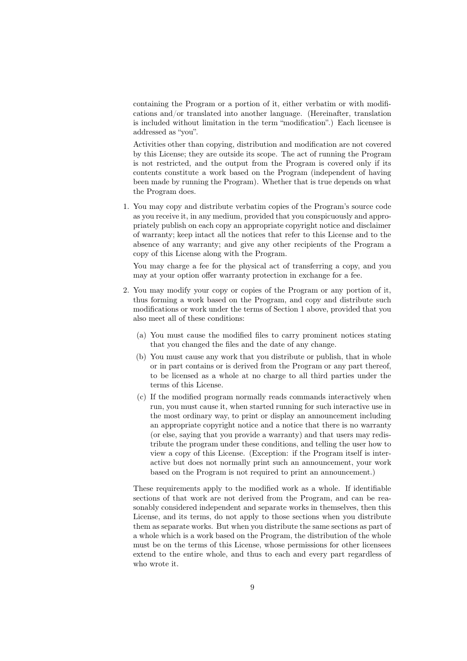containing the Program or a portion of it, either verbatim or with modifications and/or translated into another language. (Hereinafter, translation is included without limitation in the term "modification".) Each licensee is addressed as "you".

Activities other than copying, distribution and modification are not covered by this License; they are outside its scope. The act of running the Program is not restricted, and the output from the Program is covered only if its contents constitute a work based on the Program (independent of having been made by running the Program). Whether that is true depends on what the Program does.

1. You may copy and distribute verbatim copies of the Program's source code as you receive it, in any medium, provided that you conspicuously and appropriately publish on each copy an appropriate copyright notice and disclaimer of warranty; keep intact all the notices that refer to this License and to the absence of any warranty; and give any other recipients of the Program a copy of this License along with the Program.

You may charge a fee for the physical act of transferring a copy, and you may at your option offer warranty protection in exchange for a fee.

- 2. You may modify your copy or copies of the Program or any portion of it, thus forming a work based on the Program, and copy and distribute such modifications or work under the terms of Section 1 above, provided that you also meet all of these conditions:
	- (a) You must cause the modified files to carry prominent notices stating that you changed the files and the date of any change.
	- (b) You must cause any work that you distribute or publish, that in whole or in part contains or is derived from the Program or any part thereof, to be licensed as a whole at no charge to all third parties under the terms of this License.
	- (c) If the modified program normally reads commands interactively when run, you must cause it, when started running for such interactive use in the most ordinary way, to print or display an announcement including an appropriate copyright notice and a notice that there is no warranty (or else, saying that you provide a warranty) and that users may redistribute the program under these conditions, and telling the user how to view a copy of this License. (Exception: if the Program itself is interactive but does not normally print such an announcement, your work based on the Program is not required to print an announcement.)

These requirements apply to the modified work as a whole. If identifiable sections of that work are not derived from the Program, and can be reasonably considered independent and separate works in themselves, then this License, and its terms, do not apply to those sections when you distribute them as separate works. But when you distribute the same sections as part of a whole which is a work based on the Program, the distribution of the whole must be on the terms of this License, whose permissions for other licensees extend to the entire whole, and thus to each and every part regardless of who wrote it.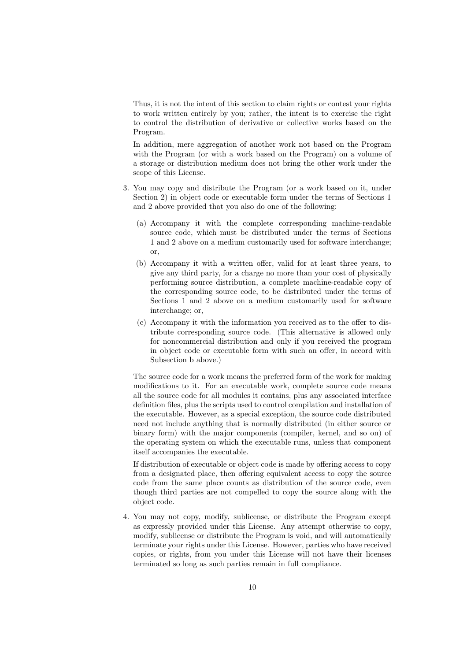Thus, it is not the intent of this section to claim rights or contest your rights to work written entirely by you; rather, the intent is to exercise the right to control the distribution of derivative or collective works based on the Program.

In addition, mere aggregation of another work not based on the Program with the Program (or with a work based on the Program) on a volume of a storage or distribution medium does not bring the other work under the scope of this License.

- 3. You may copy and distribute the Program (or a work based on it, under Section 2) in object code or executable form under the terms of Sections 1 and 2 above provided that you also do one of the following:
	- (a) Accompany it with the complete corresponding machine-readable source code, which must be distributed under the terms of Sections 1 and 2 above on a medium customarily used for software interchange; or,
	- (b) Accompany it with a written offer, valid for at least three years, to give any third party, for a charge no more than your cost of physically performing source distribution, a complete machine-readable copy of the corresponding source code, to be distributed under the terms of Sections 1 and 2 above on a medium customarily used for software interchange; or,
	- (c) Accompany it with the information you received as to the offer to distribute corresponding source code. (This alternative is allowed only for noncommercial distribution and only if you received the program in object code or executable form with such an offer, in accord with Subsection b above.)

The source code for a work means the preferred form of the work for making modifications to it. For an executable work, complete source code means all the source code for all modules it contains, plus any associated interface definition files, plus the scripts used to control compilation and installation of the executable. However, as a special exception, the source code distributed need not include anything that is normally distributed (in either source or binary form) with the major components (compiler, kernel, and so on) of the operating system on which the executable runs, unless that component itself accompanies the executable.

If distribution of executable or object code is made by offering access to copy from a designated place, then offering equivalent access to copy the source code from the same place counts as distribution of the source code, even though third parties are not compelled to copy the source along with the object code.

4. You may not copy, modify, sublicense, or distribute the Program except as expressly provided under this License. Any attempt otherwise to copy, modify, sublicense or distribute the Program is void, and will automatically terminate your rights under this License. However, parties who have received copies, or rights, from you under this License will not have their licenses terminated so long as such parties remain in full compliance.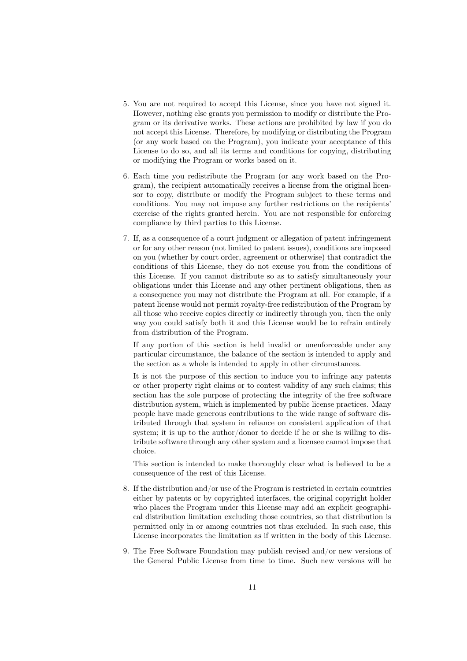- 5. You are not required to accept this License, since you have not signed it. However, nothing else grants you permission to modify or distribute the Program or its derivative works. These actions are prohibited by law if you do not accept this License. Therefore, by modifying or distributing the Program (or any work based on the Program), you indicate your acceptance of this License to do so, and all its terms and conditions for copying, distributing or modifying the Program or works based on it.
- 6. Each time you redistribute the Program (or any work based on the Program), the recipient automatically receives a license from the original licensor to copy, distribute or modify the Program subject to these terms and conditions. You may not impose any further restrictions on the recipients' exercise of the rights granted herein. You are not responsible for enforcing compliance by third parties to this License.
- 7. If, as a consequence of a court judgment or allegation of patent infringement or for any other reason (not limited to patent issues), conditions are imposed on you (whether by court order, agreement or otherwise) that contradict the conditions of this License, they do not excuse you from the conditions of this License. If you cannot distribute so as to satisfy simultaneously your obligations under this License and any other pertinent obligations, then as a consequence you may not distribute the Program at all. For example, if a patent license would not permit royalty-free redistribution of the Program by all those who receive copies directly or indirectly through you, then the only way you could satisfy both it and this License would be to refrain entirely from distribution of the Program.

If any portion of this section is held invalid or unenforceable under any particular circumstance, the balance of the section is intended to apply and the section as a whole is intended to apply in other circumstances.

It is not the purpose of this section to induce you to infringe any patents or other property right claims or to contest validity of any such claims; this section has the sole purpose of protecting the integrity of the free software distribution system, which is implemented by public license practices. Many people have made generous contributions to the wide range of software distributed through that system in reliance on consistent application of that system; it is up to the author/donor to decide if he or she is willing to distribute software through any other system and a licensee cannot impose that choice.

This section is intended to make thoroughly clear what is believed to be a consequence of the rest of this License.

- 8. If the distribution and/or use of the Program is restricted in certain countries either by patents or by copyrighted interfaces, the original copyright holder who places the Program under this License may add an explicit geographical distribution limitation excluding those countries, so that distribution is permitted only in or among countries not thus excluded. In such case, this License incorporates the limitation as if written in the body of this License.
- 9. The Free Software Foundation may publish revised and/or new versions of the General Public License from time to time. Such new versions will be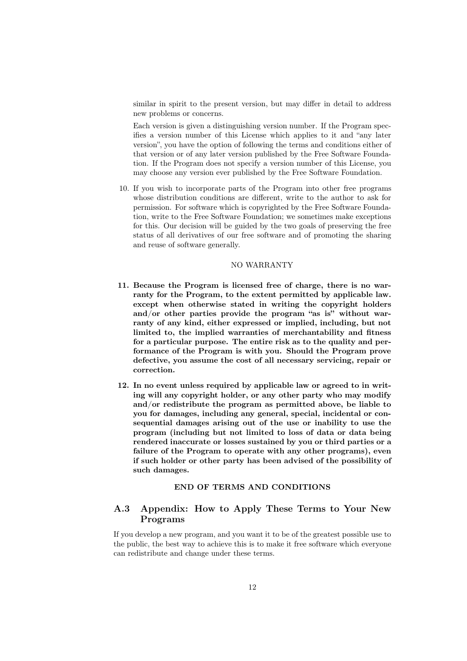similar in spirit to the present version, but may differ in detail to address new problems or concerns.

Each version is given a distinguishing version number. If the Program specifies a version number of this License which applies to it and "any later version", you have the option of following the terms and conditions either of that version or of any later version published by the Free Software Foundation. If the Program does not specify a version number of this License, you may choose any version ever published by the Free Software Foundation.

10. If you wish to incorporate parts of the Program into other free programs whose distribution conditions are different, write to the author to ask for permission. For software which is copyrighted by the Free Software Foundation, write to the Free Software Foundation; we sometimes make exceptions for this. Our decision will be guided by the two goals of preserving the free status of all derivatives of our free software and of promoting the sharing and reuse of software generally.

#### NO WARRANTY

- 11. Because the Program is licensed free of charge, there is no warranty for the Program, to the extent permitted by applicable law. except when otherwise stated in writing the copyright holders and/or other parties provide the program "as is" without warranty of any kind, either expressed or implied, including, but not limited to, the implied warranties of merchantability and fitness for a particular purpose. The entire risk as to the quality and performance of the Program is with you. Should the Program prove defective, you assume the cost of all necessary servicing, repair or correction.
- 12. In no event unless required by applicable law or agreed to in writing will any copyright holder, or any other party who may modify and/or redistribute the program as permitted above, be liable to you for damages, including any general, special, incidental or consequential damages arising out of the use or inability to use the program (including but not limited to loss of data or data being rendered inaccurate or losses sustained by you or third parties or a failure of the Program to operate with any other programs), even if such holder or other party has been advised of the possibility of such damages.

#### END OF TERMS AND CONDITIONS

### A.3 Appendix: How to Apply These Terms to Your New Programs

If you develop a new program, and you want it to be of the greatest possible use to the public, the best way to achieve this is to make it free software which everyone can redistribute and change under these terms.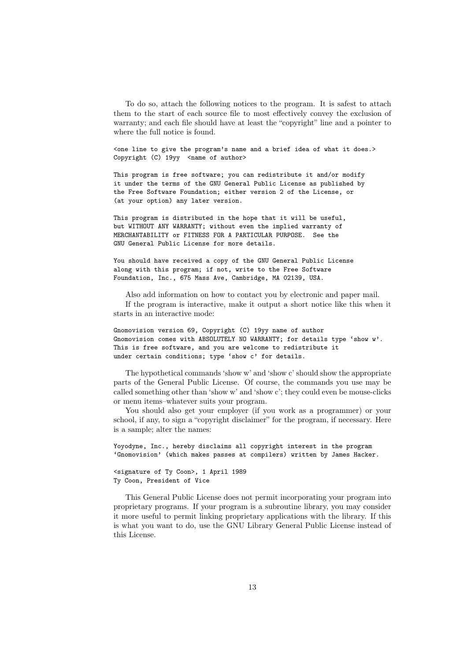To do so, attach the following notices to the program. It is safest to attach them to the start of each source file to most effectively convey the exclusion of warranty; and each file should have at least the "copyright" line and a pointer to where the full notice is found.

<one line to give the program's name and a brief idea of what it does.> Copyright (C) 19yy <name of author>

This program is free software; you can redistribute it and/or modify it under the terms of the GNU General Public License as published by the Free Software Foundation; either version 2 of the License, or (at your option) any later version.

This program is distributed in the hope that it will be useful, but WITHOUT ANY WARRANTY; without even the implied warranty of MERCHANTABILITY or FITNESS FOR A PARTICULAR PURPOSE. See the GNU General Public License for more details.

You should have received a copy of the GNU General Public License along with this program; if not, write to the Free Software Foundation, Inc., 675 Mass Ave, Cambridge, MA 02139, USA.

Also add information on how to contact you by electronic and paper mail. If the program is interactive, make it output a short notice like this when it starts in an interactive mode:

Gnomovision version 69, Copyright (C) 19yy name of author Gnomovision comes with ABSOLUTELY NO WARRANTY; for details type 'show w'. This is free software, and you are welcome to redistribute it under certain conditions; type 'show c' for details.

The hypothetical commands 'show w' and 'show c' should show the appropriate parts of the General Public License. Of course, the commands you use may be called something other than 'show w' and 'show c'; they could even be mouse-clicks or menu items–whatever suits your program.

You should also get your employer (if you work as a programmer) or your school, if any, to sign a "copyright disclaimer" for the program, if necessary. Here is a sample; alter the names:

Yoyodyne, Inc., hereby disclaims all copyright interest in the program 'Gnomovision' (which makes passes at compilers) written by James Hacker. <signature of Ty Coon>, 1 April 1989 Ty Coon, President of Vice

This General Public License does not permit incorporating your program into proprietary programs. If your program is a subroutine library, you may consider it more useful to permit linking proprietary applications with the library. If this is what you want to do, use the GNU Library General Public License instead of this License.